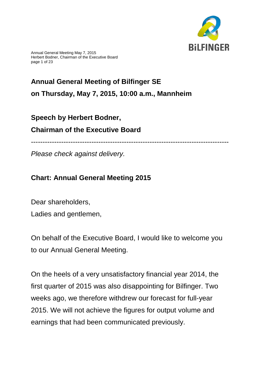

Annual General Meeting May 7, 2015 Herbert Bodner, Chairman of the Executive Board page 1 of 23

# **Annual General Meeting of Bilfinger SE on Thursday, May 7, 2015, 10:00 a.m., Mannheim**

## **Speech by Herbert Bodner, Chairman of the Executive Board**

-------------------------------------------------------------------------------------

*Please check against delivery.*

## **Chart: Annual General Meeting 2015**

Dear shareholders, Ladies and gentlemen,

On behalf of the Executive Board, I would like to welcome you to our Annual General Meeting.

On the heels of a very unsatisfactory financial year 2014, the first quarter of 2015 was also disappointing for Bilfinger. Two weeks ago, we therefore withdrew our forecast for full-year 2015. We will not achieve the figures for output volume and earnings that had been communicated previously.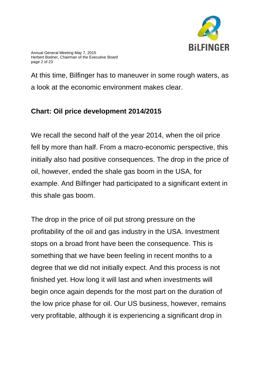

Annual General Meeting May 7, 2015 Herbert Bodner, Chairman of the Executive Board page 2 of 23

At this time, Bilfinger has to maneuver in some rough waters, as a look at the economic environment makes clear.

## **Chart: Oil price development 2014/2015**

We recall the second half of the year 2014, when the oil price fell by more than half. From a macro-economic perspective, this initially also had positive consequences. The drop in the price of oil, however, ended the shale gas boom in the USA, for example. And Bilfinger had participated to a significant extent in this shale gas boom.

The drop in the price of oil put strong pressure on the profitability of the oil and gas industry in the USA. Investment stops on a broad front have been the consequence. This is something that we have been feeling in recent months to a degree that we did not initially expect. And this process is not finished yet. How long it will last and when investments will begin once again depends for the most part on the duration of the low price phase for oil. Our US business, however, remains very profitable, although it is experiencing a significant drop in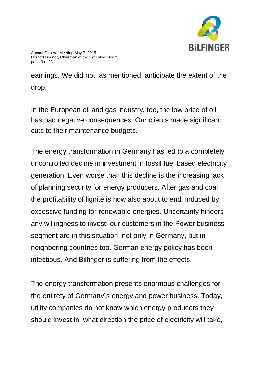

Annual General Meeting May 7, 2015 Herbert Bodner, Chairman of the Executive Board page 3 of 23

earnings. We did not, as mentioned, anticipate the extent of the drop.

In the European oil and gas industry, too, the low price of oil has had negative consequences. Our clients made significant cuts to their maintenance budgets.

The energy transformation in Germany has led to a completely uncontrolled decline in investment in fossil fuel based electricity generation. Even worse than this decline is the increasing lack of planning security for energy producers. After gas and coal, the profitability of lignite is now also about to end, induced by excessive funding for renewable energies. Uncertainty hinders any willingness to invest: our customers in the Power business segment are in this situation, not only in Germany, but in neighboring countries too. German energy policy has been infectious. And Bilfinger is suffering from the effects.

The energy transformation presents enormous challenges for the entirety of Germany´s energy and power business. Today, utility companies do not know which energy producers they should invest in, what direction the price of electricity will take,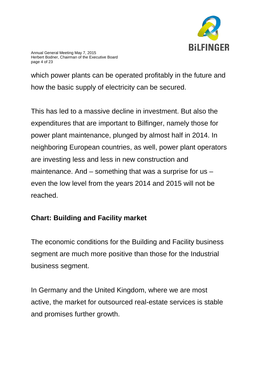

which power plants can be operated profitably in the future and how the basic supply of electricity can be secured.

This has led to a massive decline in investment. But also the expenditures that are important to Bilfinger, namely those for power plant maintenance, plunged by almost half in 2014. In neighboring European countries, as well, power plant operators are investing less and less in new construction and maintenance. And – something that was a surprise for us – even the low level from the years 2014 and 2015 will not be reached.

## **Chart: Building and Facility market**

The economic conditions for the Building and Facility business segment are much more positive than those for the Industrial business segment.

In Germany and the United Kingdom, where we are most active, the market for outsourced real-estate services is stable and promises further growth.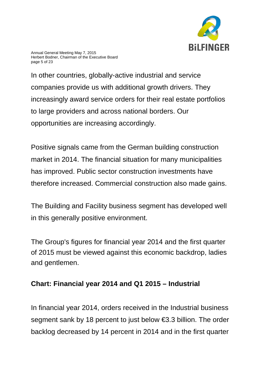

Annual General Meeting May 7, 2015 Herbert Bodner, Chairman of the Executive Board page 5 of 23

In other countries, globally-active industrial and service companies provide us with additional growth drivers. They increasingly award service orders for their real estate portfolios to large providers and across national borders. Our opportunities are increasing accordingly.

Positive signals came from the German building construction market in 2014. The financial situation for many municipalities has improved. Public sector construction investments have therefore increased. Commercial construction also made gains.

The Building and Facility business segment has developed well in this generally positive environment.

The Group's figures for financial year 2014 and the first quarter of 2015 must be viewed against this economic backdrop, ladies and gentlemen.

## **Chart: Financial year 2014 and Q1 2015 – Industrial**

In financial year 2014, orders received in the Industrial business segment sank by 18 percent to just below €3.3 billion. The order backlog decreased by 14 percent in 2014 and in the first quarter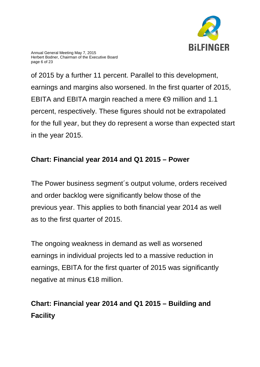

of 2015 by a further 11 percent. Parallel to this development, earnings and margins also worsened. In the first quarter of 2015, EBITA and EBITA margin reached a mere €9 million and 1.1 percent, respectively. These figures should not be extrapolated for the full year, but they do represent a worse than expected start in the year 2015.

## **Chart: Financial year 2014 and Q1 2015 – Power**

The Power business segment´s output volume, orders received and order backlog were significantly below those of the previous year. This applies to both financial year 2014 as well as to the first quarter of 2015.

The ongoing weakness in demand as well as worsened earnings in individual projects led to a massive reduction in earnings, EBITA for the first quarter of 2015 was significantly negative at minus €18 million.

# **Chart: Financial year 2014 and Q1 2015 – Building and Facility**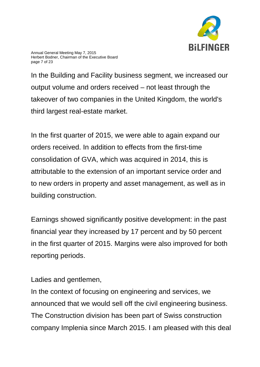

Annual General Meeting May 7, 2015 Herbert Bodner, Chairman of the Executive Board page 7 of 23

In the Building and Facility business segment, we increased our output volume and orders received – not least through the takeover of two companies in the United Kingdom, the world's third largest real-estate market.

In the first quarter of 2015, we were able to again expand our orders received. In addition to effects from the first-time consolidation of GVA, which was acquired in 2014, this is attributable to the extension of an important service order and to new orders in property and asset management, as well as in building construction.

Earnings showed significantly positive development: in the past financial year they increased by 17 percent and by 50 percent in the first quarter of 2015. Margins were also improved for both reporting periods.

Ladies and gentlemen,

In the context of focusing on engineering and services, we announced that we would sell off the civil engineering business. The Construction division has been part of Swiss construction company Implenia since March 2015. I am pleased with this deal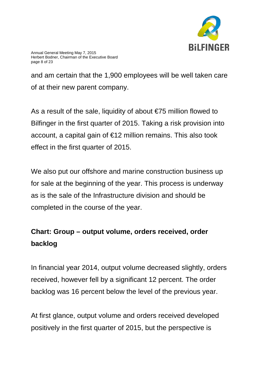

and am certain that the 1,900 employees will be well taken care of at their new parent company.

As a result of the sale, liquidity of about  $\epsilon$ 75 million flowed to Bilfinger in the first quarter of 2015. Taking a risk provision into account, a capital gain of €12 million remains. This also took effect in the first quarter of 2015.

We also put our offshore and marine construction business up for sale at the beginning of the year. This process is underway as is the sale of the Infrastructure division and should be completed in the course of the year.

# **Chart: Group – output volume, orders received, order backlog**

In financial year 2014, output volume decreased slightly, orders received, however fell by a significant 12 percent. The order backlog was 16 percent below the level of the previous year.

At first glance, output volume and orders received developed positively in the first quarter of 2015, but the perspective is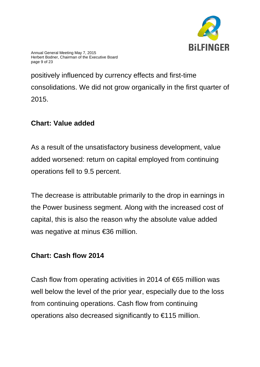

Annual General Meeting May 7, 2015 Herbert Bodner, Chairman of the Executive Board page 9 of 23

positively influenced by currency effects and first-time consolidations. We did not grow organically in the first quarter of 2015.

#### **Chart: Value added**

As a result of the unsatisfactory business development, value added worsened: return on capital employed from continuing operations fell to 9.5 percent.

The decrease is attributable primarily to the drop in earnings in the Power business segment. Along with the increased cost of capital, this is also the reason why the absolute value added was negative at minus €36 million.

#### **Chart: Cash flow 2014**

Cash flow from operating activities in 2014 of €65 million was well below the level of the prior year, especially due to the loss from continuing operations. Cash flow from continuing operations also decreased significantly to €115 million.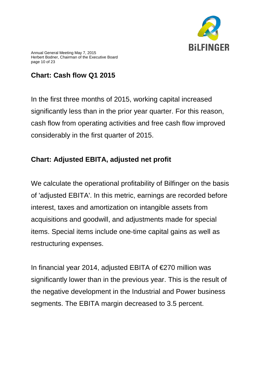

Annual General Meeting May 7, 2015 Herbert Bodner, Chairman of the Executive Board page 10 of 23

## **Chart: Cash flow Q1 2015**

In the first three months of 2015, working capital increased significantly less than in the prior year quarter. For this reason, cash flow from operating activities and free cash flow improved considerably in the first quarter of 2015.

## **Chart: Adjusted EBITA, adjusted net profit**

We calculate the operational profitability of Bilfinger on the basis of 'adjusted EBITA'. In this metric, earnings are recorded before interest, taxes and amortization on intangible assets from acquisitions and goodwill, and adjustments made for special items. Special items include one-time capital gains as well as restructuring expenses.

In financial year 2014, adjusted EBITA of €270 million was significantly lower than in the previous year. This is the result of the negative development in the Industrial and Power business segments. The EBITA margin decreased to 3.5 percent.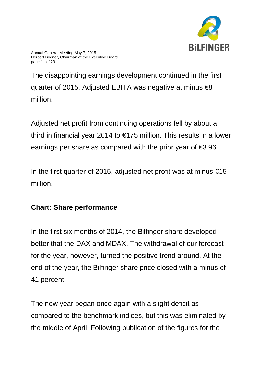

Annual General Meeting May 7, 2015 Herbert Bodner, Chairman of the Executive Board page 11 of 23

The disappointing earnings development continued in the first quarter of 2015. Adjusted EBITA was negative at minus €8 million.

Adjusted net profit from continuing operations fell by about a third in financial year 2014 to €175 million. This results in a lower earnings per share as compared with the prior year of  $\epsilon$ 3.96.

In the first quarter of 2015, adjusted net profit was at minus  $\epsilon$ 15 million.

## **Chart: Share performance**

In the first six months of 2014, the Bilfinger share developed better that the DAX and MDAX. The withdrawal of our forecast for the year, however, turned the positive trend around. At the end of the year, the Bilfinger share price closed with a minus of 41 percent.

The new year began once again with a slight deficit as compared to the benchmark indices, but this was eliminated by the middle of April. Following publication of the figures for the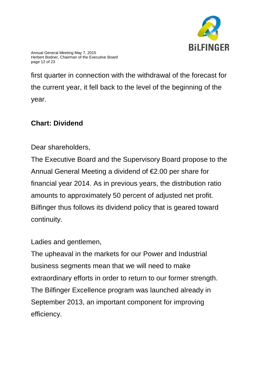

Annual General Meeting May 7, 2015 Herbert Bodner, Chairman of the Executive Board page 12 of 23

first quarter in connection with the withdrawal of the forecast for the current year, it fell back to the level of the beginning of the year.

### **Chart: Dividend**

Dear shareholders,

The Executive Board and the Supervisory Board propose to the Annual General Meeting a dividend of €2.00 per share for financial year 2014. As in previous years, the distribution ratio amounts to approximately 50 percent of adjusted net profit. Bilfinger thus follows its dividend policy that is geared toward continuity.

Ladies and gentlemen,

The upheaval in the markets for our Power and Industrial business segments mean that we will need to make extraordinary efforts in order to return to our former strength. The Bilfinger Excellence program was launched already in September 2013, an important component for improving efficiency.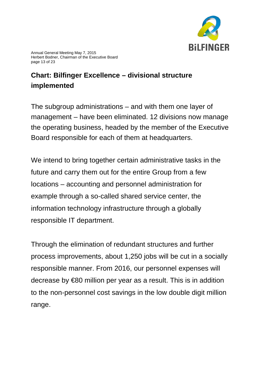

Annual General Meeting May 7, 2015 Herbert Bodner, Chairman of the Executive Board page 13 of 23

## **Chart: Bilfinger Excellence – divisional structure implemented**

The subgroup administrations – and with them one layer of management – have been eliminated. 12 divisions now manage the operating business, headed by the member of the Executive Board responsible for each of them at headquarters.

We intend to bring together certain administrative tasks in the future and carry them out for the entire Group from a few locations – accounting and personnel administration for example through a so-called shared service center, the information technology infrastructure through a globally responsible IT department.

Through the elimination of redundant structures and further process improvements, about 1,250 jobs will be cut in a socially responsible manner. From 2016, our personnel expenses will decrease by €80 million per year as a result. This is in addition to the non-personnel cost savings in the low double digit million range.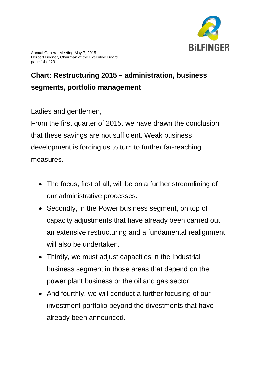

Annual General Meeting May 7, 2015 Herbert Bodner, Chairman of the Executive Board page 14 of 23

## **Chart: Restructuring 2015 – administration, business segments, portfolio management**

Ladies and gentlemen,

From the first quarter of 2015, we have drawn the conclusion that these savings are not sufficient. Weak business development is forcing us to turn to further far-reaching measures.

- The focus, first of all, will be on a further streamlining of our administrative processes.
- Secondly, in the Power business segment, on top of capacity adjustments that have already been carried out, an extensive restructuring and a fundamental realignment will also be undertaken.
- Thirdly, we must adjust capacities in the Industrial business segment in those areas that depend on the power plant business or the oil and gas sector.
- And fourthly, we will conduct a further focusing of our investment portfolio beyond the divestments that have already been announced.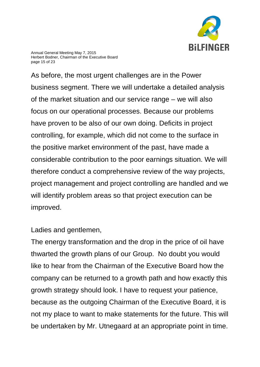

Annual General Meeting May 7, 2015 Herbert Bodner, Chairman of the Executive Board page 15 of 23

As before, the most urgent challenges are in the Power business segment. There we will undertake a detailed analysis of the market situation and our service range – we will also focus on our operational processes. Because our problems have proven to be also of our own doing. Deficits in project controlling, for example, which did not come to the surface in the positive market environment of the past, have made a considerable contribution to the poor earnings situation. We will therefore conduct a comprehensive review of the way projects, project management and project controlling are handled and we will identify problem areas so that project execution can be improved.

Ladies and gentlemen,

The energy transformation and the drop in the price of oil have thwarted the growth plans of our Group. No doubt you would like to hear from the Chairman of the Executive Board how the company can be returned to a growth path and how exactly this growth strategy should look. I have to request your patience, because as the outgoing Chairman of the Executive Board, it is not my place to want to make statements for the future. This will be undertaken by Mr. Utnegaard at an appropriate point in time.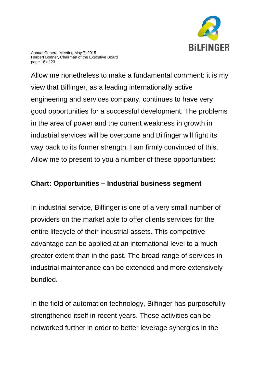

Annual General Meeting May 7, 2015 Herbert Bodner, Chairman of the Executive Board page 16 of 23

Allow me nonetheless to make a fundamental comment: it is my view that Bilfinger, as a leading internationally active engineering and services company, continues to have very good opportunities for a successful development. The problems in the area of power and the current weakness in growth in industrial services will be overcome and Bilfinger will fight its way back to its former strength. I am firmly convinced of this. Allow me to present to you a number of these opportunities:

#### **Chart: Opportunities – Industrial business segment**

In industrial service, Bilfinger is one of a very small number of providers on the market able to offer clients services for the entire lifecycle of their industrial assets. This competitive advantage can be applied at an international level to a much greater extent than in the past. The broad range of services in industrial maintenance can be extended and more extensively bundled.

In the field of automation technology, Bilfinger has purposefully strengthened itself in recent years. These activities can be networked further in order to better leverage synergies in the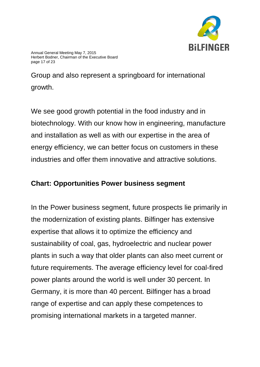

Annual General Meeting May 7, 2015 Herbert Bodner, Chairman of the Executive Board page 17 of 23

Group and also represent a springboard for international growth.

We see good growth potential in the food industry and in biotechnology. With our know how in engineering, manufacture and installation as well as with our expertise in the area of energy efficiency, we can better focus on customers in these industries and offer them innovative and attractive solutions.

#### **Chart: Opportunities Power business segment**

In the Power business segment, future prospects lie primarily in the modernization of existing plants. Bilfinger has extensive expertise that allows it to optimize the efficiency and sustainability of coal, gas, hydroelectric and nuclear power plants in such a way that older plants can also meet current or future requirements. The average efficiency level for coal-fired power plants around the world is well under 30 percent. In Germany, it is more than 40 percent. Bilfinger has a broad range of expertise and can apply these competences to promising international markets in a targeted manner.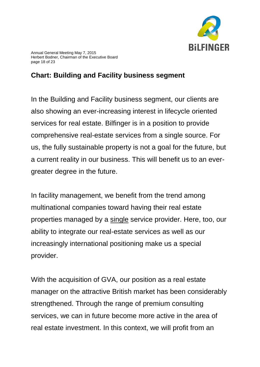

Annual General Meeting May 7, 2015 Herbert Bodner, Chairman of the Executive Board page 18 of 23

## **Chart: Building and Facility business segment**

In the Building and Facility business segment, our clients are also showing an ever-increasing interest in lifecycle oriented services for real estate. Bilfinger is in a position to provide comprehensive real-estate services from a single source. For us, the fully sustainable property is not a goal for the future, but a current reality in our business. This will benefit us to an evergreater degree in the future.

In facility management, we benefit from the trend among multinational companies toward having their real estate properties managed by a single service provider. Here, too, our ability to integrate our real-estate services as well as our increasingly international positioning make us a special provider.

With the acquisition of GVA, our position as a real estate manager on the attractive British market has been considerably strengthened. Through the range of premium consulting services, we can in future become more active in the area of real estate investment. In this context, we will profit from an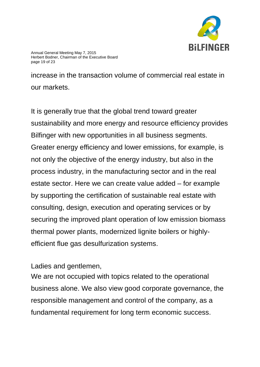

Annual General Meeting May 7, 2015 Herbert Bodner, Chairman of the Executive Board page 19 of 23

increase in the transaction volume of commercial real estate in our markets.

It is generally true that the global trend toward greater sustainability and more energy and resource efficiency provides Bilfinger with new opportunities in all business segments. Greater energy efficiency and lower emissions, for example, is not only the objective of the energy industry, but also in the process industry, in the manufacturing sector and in the real estate sector. Here we can create value added – for example by supporting the certification of sustainable real estate with consulting, design, execution and operating services or by securing the improved plant operation of low emission biomass thermal power plants, modernized lignite boilers or highlyefficient flue gas desulfurization systems.

Ladies and gentlemen,

We are not occupied with topics related to the operational business alone. We also view good corporate governance, the responsible management and control of the company, as a fundamental requirement for long term economic success.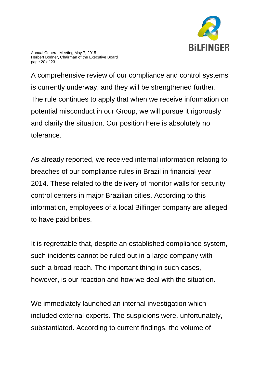

Annual General Meeting May 7, 2015 Herbert Bodner, Chairman of the Executive Board page 20 of 23

A comprehensive review of our compliance and control systems is currently underway, and they will be strengthened further. The rule continues to apply that when we receive information on potential misconduct in our Group, we will pursue it rigorously and clarify the situation. Our position here is absolutely no tolerance.

As already reported, we received internal information relating to breaches of our compliance rules in Brazil in financial year 2014. These related to the delivery of monitor walls for security control centers in major Brazilian cities. According to this information, employees of a local Bilfinger company are alleged to have paid bribes.

It is regrettable that, despite an established compliance system, such incidents cannot be ruled out in a large company with such a broad reach. The important thing in such cases, however, is our reaction and how we deal with the situation.

We immediately launched an internal investigation which included external experts. The suspicions were, unfortunately, substantiated. According to current findings, the volume of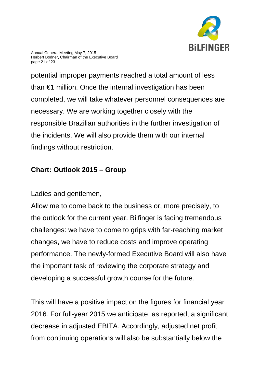

Annual General Meeting May 7, 2015 Herbert Bodner, Chairman of the Executive Board page 21 of 23

potential improper payments reached a total amount of less than €1 million. Once the internal investigation has been completed, we will take whatever personnel consequences are necessary. We are working together closely with the responsible Brazilian authorities in the further investigation of the incidents. We will also provide them with our internal findings without restriction.

### **Chart: Outlook 2015 – Group**

Ladies and gentlemen,

Allow me to come back to the business or, more precisely, to the outlook for the current year. Bilfinger is facing tremendous challenges: we have to come to grips with far-reaching market changes, we have to reduce costs and improve operating performance. The newly-formed Executive Board will also have the important task of reviewing the corporate strategy and developing a successful growth course for the future.

This will have a positive impact on the figures for financial year 2016. For full-year 2015 we anticipate, as reported, a significant decrease in adjusted EBITA. Accordingly, adjusted net profit from continuing operations will also be substantially below the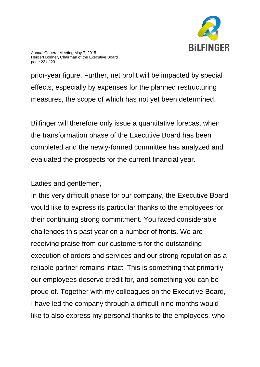

Annual General Meeting May 7, 2015 Herbert Bodner, Chairman of the Executive Board page 22 of 23

prior-year figure. Further, net profit will be impacted by special effects, especially by expenses for the planned restructuring measures, the scope of which has not yet been determined.

Bilfinger will therefore only issue a quantitative forecast when the transformation phase of the Executive Board has been completed and the newly-formed committee has analyzed and evaluated the prospects for the current financial year.

Ladies and gentlemen,

In this very difficult phase for our company, the Executive Board would like to express its particular thanks to the employees for their continuing strong commitment. You faced considerable challenges this past year on a number of fronts. We are receiving praise from our customers for the outstanding execution of orders and services and our strong reputation as a reliable partner remains intact. This is something that primarily our employees deserve credit for, and something you can be proud of. Together with my colleagues on the Executive Board, I have led the company through a difficult nine months would like to also express my personal thanks to the employees, who